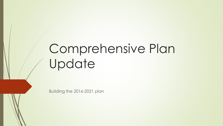# Comprehensive Plan Update

Building the 2016-2021 plan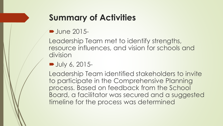## **Summary of Activities**

#### **June 2015-**

Leadership Team met to identify strengths, resource influences, and vision for schools and division

#### **July 6, 2015-**

Leadership Team identified stakeholders to invite to participate in the Comprehensive Planning process. Based on feedback from the School Board, a facilitator was secured and a suggested timeline for the process was determined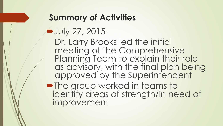#### **Summary of Activities**

## Uly 27, 2015-

Dr. Larry Brooks led the initial meeting of the Comprehensive Planning Team to explain their role as advisory, with the final plan being approved by the Superintendent

**• The group worked in teams to** identify areas of strength/in need of improvement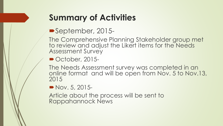## **Summary of Activities**

September, 2015-

The Comprehensive Planning Stakeholder group met to review and adjust the Likert items for the Needs Assessment Survey

October, 2015-

The Needs Assessment survey was completed in an online format and will be open from Nov. 5 to Nov.13, 2015

Nov. 5, 2015-

Article about the process will be sent to Rappahannock News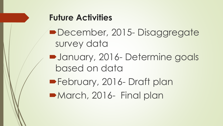#### **Future Activities**

- December, 2015-Disaggregate survey data
- **Determine goals** based on data

**February, 2016- Draft plan** March, 2016- Final plan